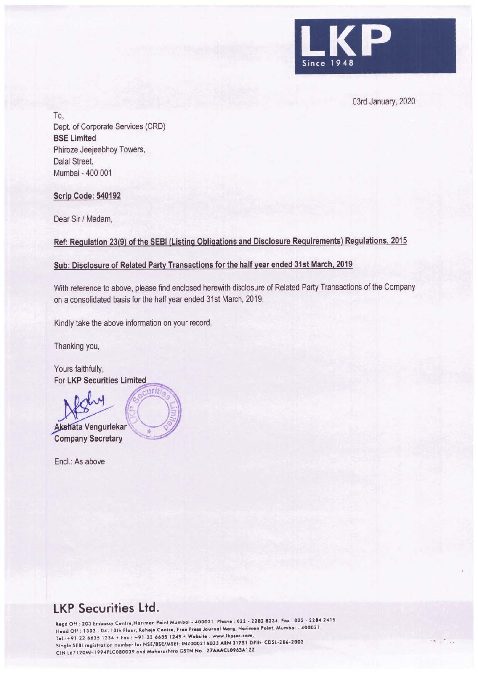

03rd January, 2020

To, Dept. of Corporate Services (CRD) **BSE Limited**  Phiroze Jeejeebhoy Towers, Dalal Street, Mumbai - 400 001

## **Scrip Code: 540192**

Dear Sir/ Madam,

**Ref: Regulation 23(9) of the SEBI (Listing Obligations and Disclosure Requirements) Regulations, 2015** 

### **Sub: Disclosure of Related Party Transactions for the half year ended 31st March, 2019**

With reference to above, please find enclosed herewith disclosure of Related Party Transactions of the Company on a consolidated basis for the half year ended 31st March, 2019.

Kindly take the above information on your record.

Thanking you,

Yours faithfully, For **LKP Securities Limited** 

 $\mathbb{Z}$  $\parallel \oplus \left( \begin{array}{cc} & \ & \end{array} \right) =$ **Akshata Vengurlekar**<br> **Company Secretary** 

Encl.: As above

# **LKP Securities Ltd.**

Regd Off : 203 Embassy Centre,Nariman Point Mumbai - 400021 . Phone : 022 - 2282 8234, Fax : 022 - 2284 2415 Head Off : 1303 - 04, 13th Floor, Raheja Centre, Free Press Journal Morg, Nariman Point, Mumbai - 400021. Tel.:+91 22 6635 1234 • Fax: +91 22 6635 1249 • Website: www.lkpsec.com Single SEBI registration number for NSE/BSE/MSEI: INZ000216033 ARN 31751 DPIN-CDSL-206-2003 CIN L67 120MH l 994PLC080039 ond Mohoroshtro GSTN No. 27MACL0963Al *Zl*